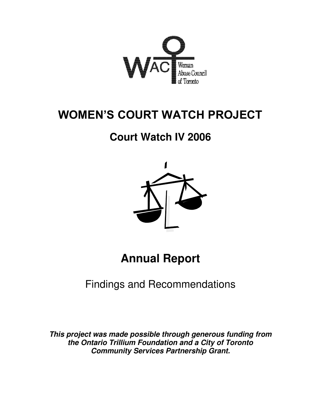

# **WOMEN'S COURT WATCH PROJECT**

# **Court Watch IV 2006**



**Annual Report** 

Findings and Recommendations

*This project was made possible through generous funding from the Ontario Trillium Foundation and a City of Toronto Community Services Partnership Grant.*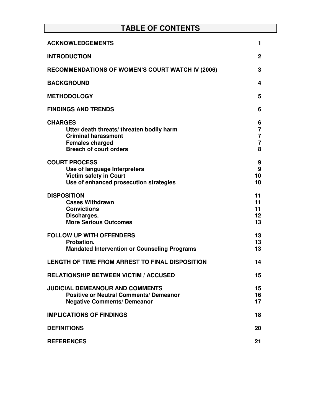# **TABLE OF CONTENTS**

| <b>ACKNOWLEDGEMENTS</b>                                                                                                                             | 1                                                            |
|-----------------------------------------------------------------------------------------------------------------------------------------------------|--------------------------------------------------------------|
| <b>INTRODUCTION</b>                                                                                                                                 | $\mathbf{2}$                                                 |
| <b>RECOMMENDATIONS OF WOMEN'S COURT WATCH IV (2006)</b>                                                                                             | 3                                                            |
| <b>BACKGROUND</b>                                                                                                                                   | 4                                                            |
| <b>METHODOLOGY</b>                                                                                                                                  | 5                                                            |
| <b>FINDINGS AND TRENDS</b>                                                                                                                          | 6                                                            |
| <b>CHARGES</b><br>Utter death threats/threaten bodily harm<br><b>Criminal harassment</b><br><b>Females charged</b><br><b>Breach of court orders</b> | 6<br>$\overline{7}$<br>$\overline{7}$<br>$\overline{7}$<br>8 |
| <b>COURT PROCESS</b><br>Use of language Interpreters<br><b>Victim safety in Court</b><br>Use of enhanced prosecution strategies                     | 9<br>9<br>10<br>10                                           |
| <b>DISPOSITION</b><br><b>Cases Withdrawn</b><br><b>Convictions</b><br>Discharges.<br><b>More Serious Outcomes</b>                                   | 11<br>11<br>11<br>$12 \,$<br>13                              |
| <b>FOLLOW UP WITH OFFENDERS</b><br>Probation.<br><b>Mandated Intervention or Counseling Programs</b>                                                | 13<br>13<br>13                                               |
| LENGTH OF TIME FROM ARREST TO FINAL DISPOSITION                                                                                                     | 14                                                           |
| <b>RELATIONSHIP BETWEEN VICTIM / ACCUSED</b>                                                                                                        | 15                                                           |
| <b>JUDICIAL DEMEANOUR AND COMMENTS</b><br><b>Positive or Neutral Comments/ Demeanor</b><br><b>Negative Comments/ Demeanor</b>                       | 15<br>16<br>17                                               |
| <b>IMPLICATIONS OF FINDINGS</b>                                                                                                                     | 18                                                           |
| <b>DEFINITIONS</b>                                                                                                                                  | 20                                                           |
| <b>REFERENCES</b>                                                                                                                                   | 21                                                           |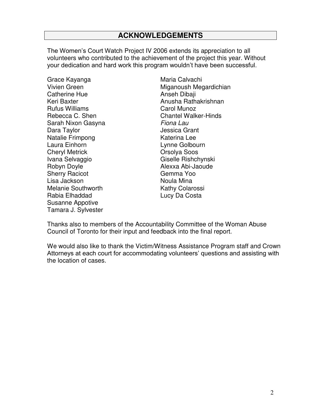# **ACKNOWLEDGEMENTS**

The Women's Court Watch Project IV 2006 extends its appreciation to all volunteers who contributed to the achievement of the project this year. Without your dedication and hard work this program wouldn't have been successful.

Grace Kayanga **Maria Calvachi** Catherine Hue **Anseh Dibaji Anseh Dibaji** Rufus Williams Carol Munoz Sarah Nixon Gasyna *Fiona Lau* Dara Taylor **Dara Taylor** Jessica Grant Natalie Frimpong Katerina Lee Laura Einhorn **Lynne Golbourn** Cheryl Metrick Orsolya Soos Ivana Selvaggio **Giselle Rishchynski** Robyn Doyle **Alexxa Abi-Jaoude** Sherry Racicot Gemma Yoo Lisa Jackson Noula Mina Melanie Southworth Kathy Colarossi Rabia Elhaddad Lucy Da Costa Susanne Appotive Tamara J. Sylvester

Vivien Green Miganoush Megardichian Keri Baxter Anusha Rathakrishnan Rebecca C. Shen Chantel Walker-Hinds

Thanks also to members of the Accountability Committee of the Woman Abuse Council of Toronto for their input and feedback into the final report.

We would also like to thank the Victim/Witness Assistance Program staff and Crown Attorneys at each court for accommodating volunteers' questions and assisting with the location of cases.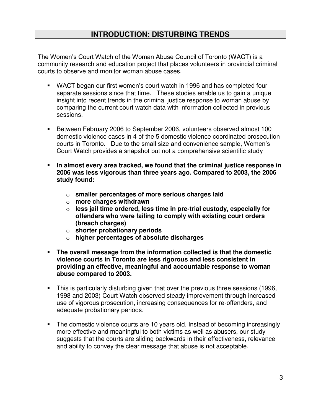## **INTRODUCTION: DISTURBING TRENDS**

The Women's Court Watch of the Woman Abuse Council of Toronto (WACT) is a community research and education project that places volunteers in provincial criminal courts to observe and monitor woman abuse cases.

- WACT began our first women's court watch in 1996 and has completed four separate sessions since that time. These studies enable us to gain a unique insight into recent trends in the criminal justice response to woman abuse by comparing the current court watch data with information collected in previous sessions.
- **Between February 2006 to September 2006, volunteers observed almost 100** domestic violence cases in 4 of the 5 domestic violence coordinated prosecution courts in Toronto. Due to the small size and convenience sample, Women's Court Watch provides a snapshot but not a comprehensive scientific study
- **In almost every area tracked, we found that the criminal justice response in 2006 was less vigorous than three years ago. Compared to 2003, the 2006 study found:** 
	- o **smaller percentages of more serious charges laid**
	- o **more charges withdrawn**
	- o **less jail time ordered, less time in pre-trial custody, especially for offenders who were failing to comply with existing court orders (breach charges)**
	- o **shorter probationary periods**
	- o **higher percentages of absolute discharges**
- **The overall message from the information collected is that the domestic violence courts in Toronto are less rigorous and less consistent in providing an effective, meaningful and accountable response to woman abuse compared to 2003.**
- This is particularly disturbing given that over the previous three sessions (1996, 1998 and 2003) Court Watch observed steady improvement through increased use of vigorous prosecution, increasing consequences for re-offenders, and adequate probationary periods.
- The domestic violence courts are 10 years old. Instead of becoming increasingly more effective and meaningful to both victims as well as abusers, our study suggests that the courts are sliding backwards in their effectiveness, relevance and ability to convey the clear message that abuse is not acceptable.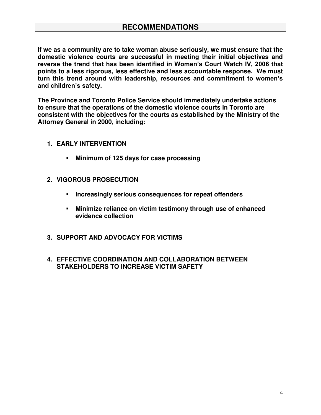**If we as a community are to take woman abuse seriously, we must ensure that the domestic violence courts are successful in meeting their initial objectives and reverse the trend that has been identified in Women's Court Watch IV, 2006 that points to a less rigorous, less effective and less accountable response. We must turn this trend around with leadership, resources and commitment to women's and children's safety.** 

**The Province and Toronto Police Service should immediately undertake actions to ensure that the operations of the domestic violence courts in Toronto are consistent with the objectives for the courts as established by the Ministry of the Attorney General in 2000, including:** 

- **1. EARLY INTERVENTION** 
	- **Minimum of 125 days for case processing**
- **2. VIGOROUS PROSECUTION** 
	- **Increasingly serious consequences for repeat offenders**
	- **Minimize reliance on victim testimony through use of enhanced evidence collection**
- **3. SUPPORT AND ADVOCACY FOR VICTIMS**
- **4. EFFECTIVE COORDINATION AND COLLABORATION BETWEEN STAKEHOLDERS TO INCREASE VICTIM SAFETY**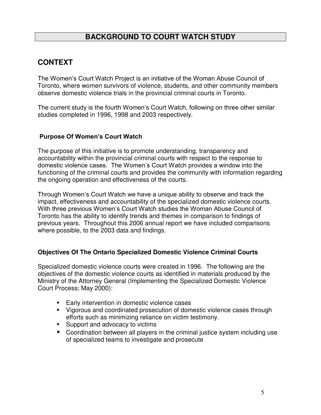# **BACKGROUND TO COURT WATCH STUDY**

# **CONTEXT**

The Women's Court Watch Project is an initiative of the Woman Abuse Council of Toronto, where women survivors of violence, students, and other community members observe domestic violence trials in the provincial criminal courts in Toronto.

The current study is the fourth Women's Court Watch, following on three other similar studies completed in 1996, 1998 and 2003 respectively.

#### **Purpose Of Women's Court Watch**

The purpose of this initiative is to promote understanding, transparency and accountability within the provincial criminal courts with respect to the response to domestic violence cases. The Women's Court Watch provides a window into the functioning of the criminal courts and provides the community with information regarding the ongoing operation and effectiveness of the courts.

Through Women's Court Watch we have a unique ability to observe and track the impact, effectiveness and accountability of the specialized domestic violence courts. With three previous Women's Court Watch studies the Woman Abuse Council of Toronto has the ability to identify trends and themes in comparison to findings of previous years. Throughout this 2006 annual report we have included comparisons where possible, to the 2003 data and findings.

#### **Objectives Of The Ontario Specialized Domestic Violence Criminal Courts**

Specialized domestic violence courts were created in 1996. The following are the objectives of the domestic violence courts as identified in materials produced by the Ministry of the Attorney General (Implementing the Specialized Domestic Violence Court Process; May 2000):

- **Early intervention in domestic violence cases**
- Vigorous and coordinated prosecution of domestic violence cases through efforts such as minimizing reliance on victim testimony.
- **Support and advocacy to victims**
- Coordination between all players in the criminal justice system including use of specialized teams to investigate and prosecute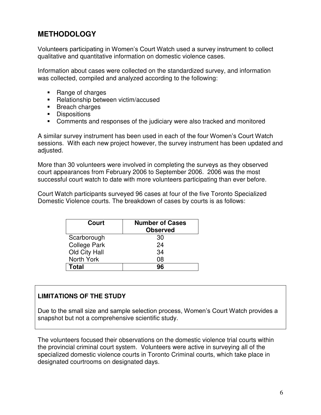# **METHODOLOGY**

Volunteers participating in Women's Court Watch used a survey instrument to collect qualitative and quantitative information on domestic violence cases.

Information about cases were collected on the standardized survey, and information was collected, compiled and analyzed according to the following:

- Range of charges
- Relationship between victim/accused
- **Breach charges**
- **Dispositions**
- Comments and responses of the judiciary were also tracked and monitored

A similar survey instrument has been used in each of the four Women's Court Watch sessions. With each new project however, the survey instrument has been updated and adjusted.

More than 30 volunteers were involved in completing the surveys as they observed court appearances from February 2006 to September 2006. 2006 was the most successful court watch to date with more volunteers participating than ever before.

Court Watch participants surveyed 96 cases at four of the five Toronto Specialized Domestic Violence courts. The breakdown of cases by courts is as follows:

| Court               | <b>Number of Cases</b><br><b>Observed</b> |
|---------------------|-------------------------------------------|
| Scarborough         | 30                                        |
| <b>College Park</b> | 24                                        |
| Old City Hall       | 34                                        |
| North York          | 08                                        |
| <b>Total</b>        | 96                                        |

## **LIMITATIONS OF THE STUDY**

Due to the small size and sample selection process, Women's Court Watch provides a snapshot but not a comprehensive scientific study.

The volunteers focused their observations on the domestic violence trial courts within the provincial criminal court system. Volunteers were active in surveying all of the specialized domestic violence courts in Toronto Criminal courts, which take place in designated courtrooms on designated days.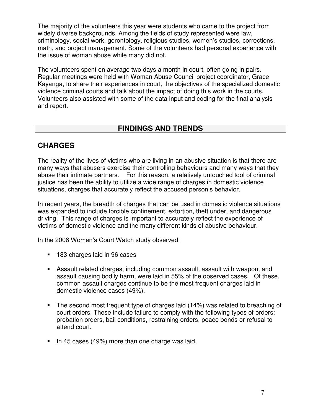The majority of the volunteers this year were students who came to the project from widely diverse backgrounds. Among the fields of study represented were law, criminology, social work, gerontology, religious studies, women's studies, corrections, math, and project management. Some of the volunteers had personal experience with the issue of woman abuse while many did not.

The volunteers spent on average two days a month in court, often going in pairs. Regular meetings were held with Woman Abuse Council project coordinator, Grace Kayanga, to share their experiences in court, the objectives of the specialized domestic violence criminal courts and talk about the impact of doing this work in the courts. Volunteers also assisted with some of the data input and coding for the final analysis and report.

## **FINDINGS AND TRENDS**

## **CHARGES**

The reality of the lives of victims who are living in an abusive situation is that there are many ways that abusers exercise their controlling behaviours and many ways that they abuse their intimate partners. For this reason, a relatively untouched tool of criminal justice has been the ability to utilize a wide range of charges in domestic violence situations, charges that accurately reflect the accused person's behavior.

In recent years, the breadth of charges that can be used in domestic violence situations was expanded to include forcible confinement, extortion, theft under, and dangerous driving. This range of charges is important to accurately reflect the experience of victims of domestic violence and the many different kinds of abusive behaviour.

In the 2006 Women's Court Watch study observed:

- **183 charges laid in 96 cases**
- Assault related charges, including common assault, assault with weapon, and assault causing bodily harm, were laid in 55% of the observed cases. Of these, common assault charges continue to be the most frequent charges laid in domestic violence cases (49%).
- The second most frequent type of charges laid (14%) was related to breaching of court orders. These include failure to comply with the following types of orders: probation orders, bail conditions, restraining orders, peace bonds or refusal to attend court.
- $\blacksquare$  In 45 cases (49%) more than one charge was laid.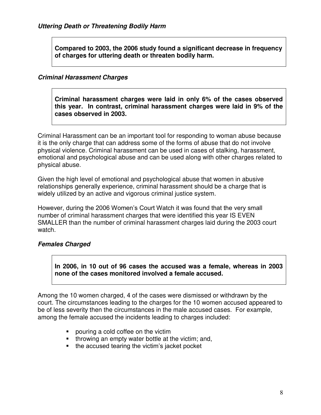**Compared to 2003, the 2006 study found a significant decrease in frequency of charges for uttering death or threaten bodily harm.** 

#### *Criminal Harassment Charges*

**Criminal harassment charges were laid in only 6% of the cases observed this year. In contrast, criminal harassment charges were laid in 9% of the cases observed in 2003.** 

Criminal Harassment can be an important tool for responding to woman abuse because it is the only charge that can address some of the forms of abuse that do not involve physical violence. Criminal harassment can be used in cases of stalking, harassment, emotional and psychological abuse and can be used along with other charges related to physical abuse.

Given the high level of emotional and psychological abuse that women in abusive relationships generally experience, criminal harassment should be a charge that is widely utilized by an active and vigorous criminal justice system.

However, during the 2006 Women's Court Watch it was found that the very small number of criminal harassment charges that were identified this year IS EVEN SMALLER than the number of criminal harassment charges laid during the 2003 court watch.

#### *Females Charged*

**In 2006, in 10 out of 96 cases the accused was a female, whereas in 2003 none of the cases monitored involved a female accused.** 

Among the 10 women charged, 4 of the cases were dismissed or withdrawn by the court. The circumstances leading to the charges for the 10 women accused appeared to be of less severity then the circumstances in the male accused cases. For example, among the female accused the incidents leading to charges included:

- **pouring a cold coffee on the victim**
- $\blacksquare$  throwing an empty water bottle at the victim; and,
- $\blacksquare$  the accused tearing the victim's jacket pocket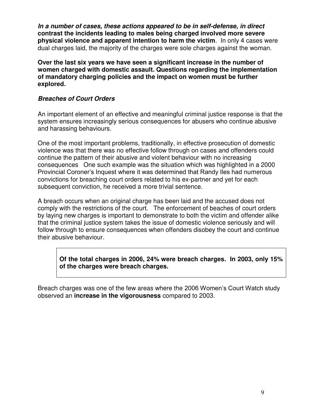*In a number of cases, these actions appeared to be in self-defense, in direct* **contrast the incidents leading to males being charged involved more severe physical violence and apparent intention to harm the victim**. In only 4 cases were dual charges laid, the majority of the charges were sole charges against the woman.

**Over the last six years we have seen a significant increase in the number of women charged with domestic assault. Questions regarding the implementation of mandatory charging policies and the impact on women must be further explored.** 

#### *Breaches of Court Orders*

An important element of an effective and meaningful criminal justice response is that the system ensures increasingly serious consequences for abusers who continue abusive and harassing behaviours.

One of the most important problems, traditionally, in effective prosecution of domestic violence was that there was no effective follow through on cases and offenders could continue the pattern of their abusive and violent behaviour with no increasing consequences One such example was the situation which was highlighted in a 2000 Provincial Coroner's Inquest where it was determined that Randy Iles had numerous convictions for breaching court orders related to his ex-partner and yet for each subsequent conviction, he received a more trivial sentence.

A breach occurs when an original charge has been laid and the accused does not comply with the restrictions of the court. The enforcement of beaches of court orders by laying new charges is important to demonstrate to both the victim and offender alike that the criminal justice system takes the issue of domestic violence seriously and will follow through to ensure consequences when offenders disobey the court and continue their abusive behaviour.

**Of the total charges in 2006, 24% were breach charges. In 2003, only 15% of the charges were breach charges.** 

Breach charges was one of the few areas where the 2006 Women's Court Watch study observed an **increase in the vigorousness** compared to 2003.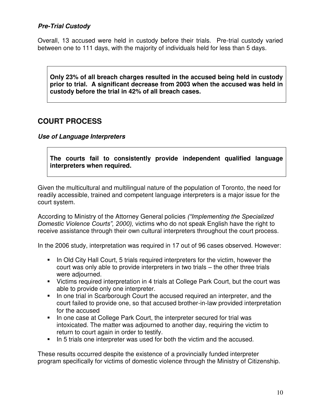### *Pre-Trial Custody*

Overall, 13 accused were held in custody before their trials. Pre-trial custody varied between one to 111 days, with the majority of individuals held for less than 5 days.

**Only 23% of all breach charges resulted in the accused being held in custody prior to trial. A significant decrease from 2003 when the accused was held in custody before the trial in 42% of all breach cases.** 

## **COURT PROCESS**

*Use of Language Interpreters* 

**The courts fail to consistently provide independent qualified language interpreters when required.** 

Given the multicultural and multilingual nature of the population of Toronto, the need for readily accessible, trained and competent language interpreters is a major issue for the court system.

According to Ministry of the Attorney General policies *("Implementing the Specialized Domestic Violence Courts", 2000),* victims who do not speak English have the right to receive assistance through their own cultural interpreters throughout the court process.

In the 2006 study, interpretation was required in 17 out of 96 cases observed. However:

- In Old City Hall Court, 5 trials required interpreters for the victim, however the court was only able to provide interpreters in two trials – the other three trials were adjourned.
- Victims required interpretation in 4 trials at College Park Court, but the court was able to provide only one interpreter.
- In one trial in Scarborough Court the accused required an interpreter, and the court failed to provide one, so that accused brother-in-law provided interpretation for the accused
- In one case at College Park Court, the interpreter secured for trial was intoxicated. The matter was adjourned to another day, requiring the victim to return to court again in order to testify.
- In 5 trials one interpreter was used for both the victim and the accused.

These results occurred despite the existence of a provincially funded interpreter program specifically for victims of domestic violence through the Ministry of Citizenship.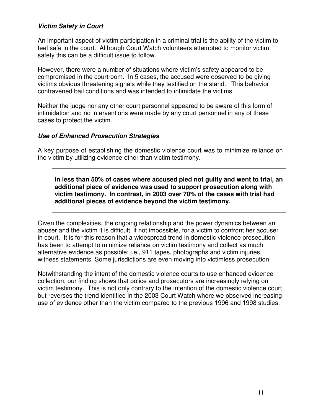#### *Victim Safety in Court*

An important aspect of victim participation in a criminal trial is the ability of the victim to feel safe in the court. Although Court Watch volunteers attempted to monitor victim safety this can be a difficult issue to follow.

However, there were a number of situations where victim's safety appeared to be compromised in the courtroom. In 5 cases, the accused were observed to be giving victims obvious threatening signals while they testified on the stand. This behavior contravened bail conditions and was intended to intimidate the victims.

Neither the judge nor any other court personnel appeared to be aware of this form of intimidation and no interventions were made by any court personnel in any of these cases to protect the victim.

#### *Use of Enhanced Prosecution Strategies*

A key purpose of establishing the domestic violence court was to minimize reliance on the victim by utilizing evidence other than victim testimony.

**In less than 50% of cases where accused pled not guilty and went to trial, an additional piece of evidence was used to support prosecution along with victim testimony. In contrast, in 2003 over 70% of the cases with trial had additional pieces of evidence beyond the victim testimony.** 

Given the complexities, the ongoing relationship and the power dynamics between an abuser and the victim it is difficult, if not impossible, for a victim to confront her accuser in court. It is for this reason that a widespread trend in domestic violence prosecution has been to attempt to minimize reliance on victim testimony and collect as much alternative evidence as possible; i.e., 911 tapes, photographs and victim injuries, witness statements. Some jurisdictions are even moving into victimless prosecution.

Notwithstanding the intent of the domestic violence courts to use enhanced evidence collection, our finding shows that police and prosecutors are increasingly relying on victim testimony. This is not only contrary to the intention of the domestic violence court but reverses the trend identified in the 2003 Court Watch where we observed increasing use of evidence other than the victim compared to the previous 1996 and 1998 studies.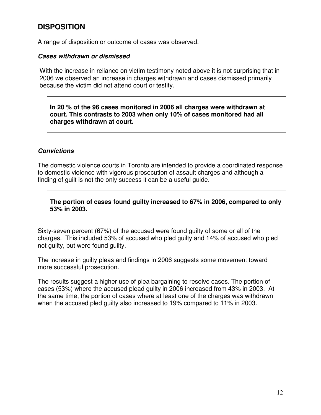## **DISPOSITION**

A range of disposition or outcome of cases was observed.

#### *Cases withdrawn or dismissed*

With the increase in reliance on victim testimony noted above it is not surprising that in 2006 we observed an increase in charges withdrawn and cases dismissed primarily because the victim did not attend court or testify.

**In 20 % of the 96 cases monitored in 2006 all charges were withdrawn at court. This contrasts to 2003 when only 10% of cases monitored had all charges withdrawn at court.** 

#### *Convictions*

The domestic violence courts in Toronto are intended to provide a coordinated response to domestic violence with vigorous prosecution of assault charges and although a finding of guilt is not the only success it can be a useful guide.

**The portion of cases found guilty increased to 67% in 2006, compared to only 53% in 2003.** 

Sixty-seven percent (67%) of the accused were found guilty of some or all of the charges. This included 53% of accused who pled guilty and 14% of accused who pled not guilty, but were found guilty.

The increase in guilty pleas and findings in 2006 suggests some movement toward more successful prosecution.

The results suggest a higher use of plea bargaining to resolve cases. The portion of cases (53%) where the accused plead guilty in 2006 increased from 43% in 2003. At the same time, the portion of cases where at least one of the charges was withdrawn when the accused pled guilty also increased to 19% compared to 11% in 2003.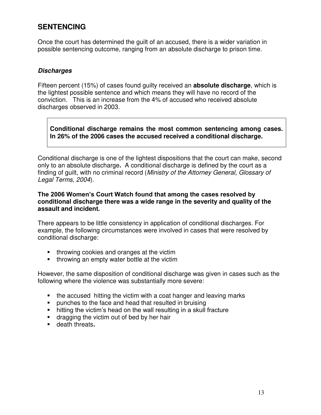# **SENTENCING**

Once the court has determined the guilt of an accused, there is a wider variation in possible sentencing outcome, ranging from an absolute discharge to prison time.

#### *Discharges*

Fifteen percent (15%) of cases found guilty received an **absolute discharge**, which is the lightest possible sentence and which means they will have no record of the conviction. This is an increase from the 4% of accused who received absolute discharges observed in 2003.

#### **Conditional discharge remains the most common sentencing among cases. In 26% of the 2006 cases the accused received a conditional discharge.**

Conditional discharge is one of the lightest dispositions that the court can make, second only to an absolute discharge**.** A conditional discharge is defined by the court as a finding of guilt, with no criminal record (*Ministry of the Attorney General, Glossary of Legal Terms, 2004*).

#### **The 2006 Women's Court Watch found that among the cases resolved by conditional discharge there was a wide range in the severity and quality of the assault and incident.**

There appears to be little consistency in application of conditional discharges. For example, the following circumstances were involved in cases that were resolved by conditional discharge:

- **throwing cookies and oranges at the victim**
- throwing an empty water bottle at the victim

However, the same disposition of conditional discharge was given in cases such as the following where the violence was substantially more severe:

- the accused hitting the victim with a coat hanger and leaving marks
- **Permies to the face and head that resulted in bruising**
- hitting the victim's head on the wall resulting in a skull fracture
- **dragging the victim out of bed by her hair**
- death threats**.**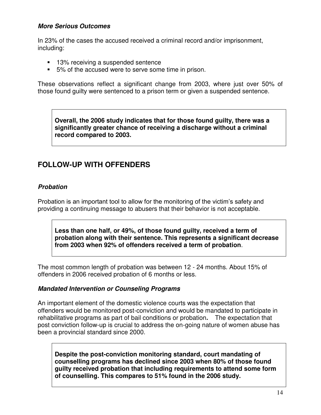#### *More Serious Outcomes*

In 23% of the cases the accused received a criminal record and/or imprisonment, including:

- 13% receiving a suspended sentence
- 5% of the accused were to serve some time in prison.

These observations reflect a significant change from 2003, where just over 50% of those found guilty were sentenced to a prison term or given a suspended sentence.

**Overall, the 2006 study indicates that for those found guilty, there was a significantly greater chance of receiving a discharge without a criminal record compared to 2003.** 

## **FOLLOW-UP WITH OFFENDERS**

#### *Probation*

Probation is an important tool to allow for the monitoring of the victim's safety and providing a continuing message to abusers that their behavior is not acceptable.

**Less than one half, or 49%, of those found guilty, received a term of probation along with their sentence. This represents a significant decrease from 2003 when 92% of offenders received a term of probation**.

The most common length of probation was between 12 - 24 months. About 15% of offenders in 2006 received probation of 6 months or less.

#### *Mandated Intervention or Counseling Programs*

An important element of the domestic violence courts was the expectation that offenders would be monitored post-conviction and would be mandated to participate in rehabilitative programs as part of bail conditions or probation**.** The expectation that post conviction follow-up is crucial to address the on-going nature of women abuse has been a provincial standard since 2000.

**Despite the post-conviction monitoring standard, court mandating of counselling programs has declined since 2003 when 80% of those found guilty received probation that including requirements to attend some form of counselling. This compares to 51% found in the 2006 study.**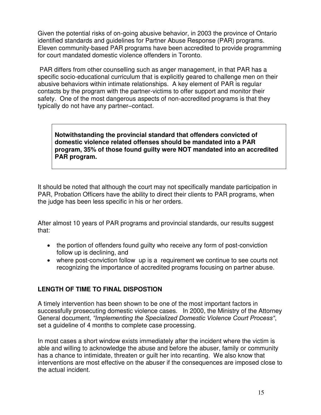Given the potential risks of on-going abusive behavior, in 2003 the province of Ontario identified standards and guidelines for Partner Abuse Response (PAR) programs. Eleven community-based PAR programs have been accredited to provide programming for court mandated domestic violence offenders in Toronto.

 PAR differs from other counselling such as anger management, in that PAR has a specific socio-educational curriculum that is explicitly geared to challenge men on their abusive behaviors within intimate relationships. A key element of PAR is regular contacts by the program with the partner-victims to offer support and monitor their safety. One of the most dangerous aspects of non-accredited programs is that they typically do not have any partner–contact.

**Notwithstanding the provincial standard that offenders convicted of domestic violence related offenses should be mandated into a PAR program, 35% of those found guilty were NOT mandated into an accredited PAR program.** 

It should be noted that although the court may not specifically mandate participation in PAR, Probation Officers have the ability to direct their clients to PAR programs, when the judge has been less specific in his or her orders.

After almost 10 years of PAR programs and provincial standards, our results suggest that:

- the portion of offenders found quilty who receive any form of post-conviction follow up is declining, and
- where post-conviction follow up is a requirement we continue to see courts not recognizing the importance of accredited programs focusing on partner abuse.

## **LENGTH OF TIME TO FINAL DISPOSTION**

A timely intervention has been shown to be one of the most important factors in successfully prosecuting domestic violence cases. In 2000, the Ministry of the Attorney General document, *"Implementing the Specialized Domestic Violence Court Process"*, set a guideline of 4 months to complete case processing.

In most cases a short window exists immediately after the incident where the victim is able and willing to acknowledge the abuse and before the abuser, family or community has a chance to intimidate, threaten or guilt her into recanting. We also know that interventions are most effective on the abuser if the consequences are imposed close to the actual incident.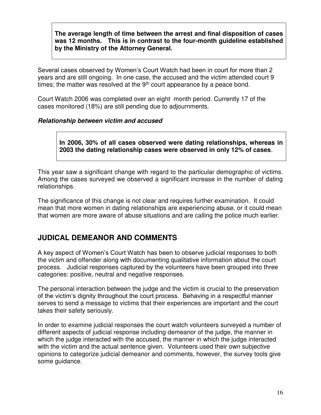**The average length of time between the arrest and final disposition of cases was 12 months. This is in contrast to the four-month guideline established by the Ministry of the Attorney General.** 

Several cases observed by Women's Court Watch had been in court for more than 2 years and are still ongoing. In one case, the accused and the victim attended court 9 times; the matter was resolved at the  $9<sup>th</sup>$  court appearance by a peace bond.

Court Watch 2006 was completed over an eight month period. Currently 17 of the cases monitored (18%) are still pending due to adjournments.

#### *Relationship between victim and accused*

**In 2006, 30% of all cases observed were dating relationships, whereas in 2003 the dating relationship cases were observed in only 12% of cases**.

This year saw a significant change with regard to the particular demographic of victims. Among the cases surveyed we observed a significant increase in the number of dating relationships.

The significance of this change is not clear and requires further examination. It could mean that more women in dating relationships are experiencing abuse, or it could mean that women are more aware of abuse situations and are calling the police much earlier.

## **JUDICAL DEMEANOR AND COMMENTS**

A key aspect of Women's Court Watch has been to observe judicial responses to both the victim and offender along with documenting qualitative information about the court process. Judicial responses captured by the volunteers have been grouped into three categories: positive, neutral and negative responses.

The personal interaction between the judge and the victim is crucial to the preservation of the victim's dignity throughout the court process. Behaving in a respectful manner serves to send a message to victims that their experiences are important and the court takes their safety seriously.

In order to examine judicial responses the court watch volunteers surveyed a number of different aspects of judicial response including demeanor of the judge, the manner in which the judge interacted with the accused, the manner in which the judge interacted with the victim and the actual sentence given. Volunteers used their own subjective opinions to categorize judicial demeanor and comments, however, the survey tools give some guidance.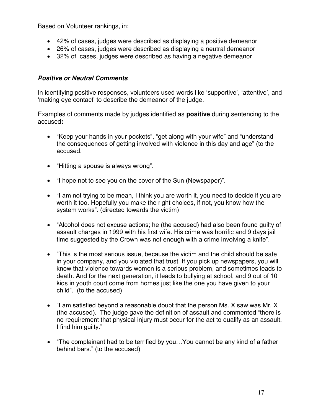Based on Volunteer rankings, in:

- 42% of cases, judges were described as displaying a positive demeanor
- 26% of cases, judges were described as displaying a neutral demeanor
- 32% of cases, judges were described as having a negative demeanor

## *Positive or Neutral Comments*

In identifying positive responses, volunteers used words like 'supportive', 'attentive', and 'making eye contact' to describe the demeanor of the judge.

Examples of comments made by judges identified as **positive** during sentencing to the accused**:** 

- "Keep your hands in your pockets", "get along with your wife" and "understand the consequences of getting involved with violence in this day and age" (to the accused.
- "Hitting a spouse is always wrong".
- "I hope not to see you on the cover of the Sun (Newspaper)".
- "I am not trying to be mean, I think you are worth it, you need to decide if you are worth it too. Hopefully you make the right choices, if not, you know how the system works". (directed towards the victim)
- "Alcohol does not excuse actions; he (the accused) had also been found guilty of assault charges in 1999 with his first wife. His crime was horrific and 9 days jail time suggested by the Crown was not enough with a crime involving a knife".
- "This is the most serious issue, because the victim and the child should be safe in your company, and you violated that trust. If you pick up newspapers, you will know that violence towards women is a serious problem, and sometimes leads to death. And for the next generation, it leads to bullying at school, and 9 out of 10 kids in youth court come from homes just like the one you have given to your child". (to the accused)
- "I am satisfied beyond a reasonable doubt that the person Ms. X saw was Mr. X (the accused). The judge gave the definition of assault and commented "there is no requirement that physical injury must occur for the act to qualify as an assault. I find him guilty."
- "The complainant had to be terrified by you…You cannot be any kind of a father behind bars." (to the accused)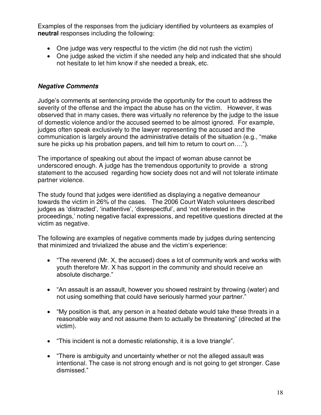Examples of the responses from the judiciary identified by volunteers as examples of **neutral** responses including the following:

- One judge was very respectful to the victim (he did not rush the victim)
- One judge asked the victim if she needed any help and indicated that she should not hesitate to let him know if she needed a break, etc.

## *Negative Comments*

Judge's comments at sentencing provide the opportunity for the court to address the severity of the offense and the impact the abuse has on the victim. However, it was observed that in many cases, there was virtually no reference by the judge to the issue of domestic violence and/or the accused seemed to be almost ignored. For example, judges often speak exclusively to the lawyer representing the accused and the communication is largely around the administrative details of the situation (e.g., "make sure he picks up his probation papers, and tell him to return to court on….").

The importance of speaking out about the impact of woman abuse cannot be underscored enough. A judge has the tremendous opportunity to provide a strong statement to the accused regarding how society does not and will not tolerate intimate partner violence.

The study found that judges were identified as displaying a negative demeanour towards the victim in 26% of the cases. The 2006 Court Watch volunteers described judges as 'distracted', 'inattentive', 'disrespectful', and 'not interested in the proceedings,' noting negative facial expressions, and repetitive questions directed at the victim as negative.

The following are examples of negative comments made by judges during sentencing that minimized and trivialized the abuse and the victim's experience:

- "The reverend (Mr. X, the accused) does a lot of community work and works with youth therefore Mr. X has support in the community and should receive an absolute discharge."
- "An assault is an assault, however you showed restraint by throwing (water) and not using something that could have seriously harmed your partner."
- "My position is that, any person in a heated debate would take these threats in a reasonable way and not assume them to actually be threatening" (directed at the victim).
- "This incident is not a domestic relationship, it is a love triangle".
- "There is ambiguity and uncertainty whether or not the alleged assault was intentional. The case is not strong enough and is not going to get stronger. Case dismissed."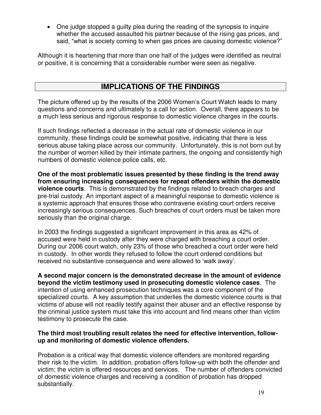One judge stopped a guilty plea during the reading of the synopsis to inquire whether the accused assaulted his partner because of the rising gas prices, and said, "what is society coming to when gas prices are causing domestic violence?"

Although it is heartening that more than one half of the judges were identified as neutral or positive, it is concerning that a considerable number were seen as negative.

## **IMPLICATIONS OF THE FINDINGS**

The picture offered up by the results of the 2006 Women's Court Watch leads to many questions and concerns and ultimately to a call for action. Overall, there appears to be a much less serious and rigorous response to domestic violence charges in the courts.

If such findings reflected a decrease in the actual rate of domestic violence in our community, these findings could be somewhat positive, indicating that there is less serious abuse taking place across our community. Unfortunately, this is not born out by the number of women killed by their intimate partners, the ongoing and consistently high numbers of domestic violence police calls, etc.

**One of the most problematic issues presented by these finding is the trend away from ensuring increasing consequences for repeat offenders within the domestic violence courts**. This is demonstrated by the findings related to breach charges and pre-trial custody. An important aspect of a meaningful response to domestic violence is a systemic approach that ensures those who contravene existing court orders receive increasingly serious consequences. Such breaches of court orders must be taken more seriously than the original charge.

In 2003 the findings suggested a significant improvement in this area as 42% of accused were held in custody after they were charged with breaching a court order. During our 2006 court watch, only 23% of those who breached a court order were held in custody. In other words they refused to follow the court ordered conditions but received no substantive consequence and were allowed to 'walk away'.

**A second major concern is the demonstrated decrease in the amount of evidence beyond the victim testimony used in prosecuting domestic violence cases**. The intention of using enhanced prosecution techniques was a core component of the specialized courts. A key assumption that underlies the domestic violence courts is that victims of abuse will not readily testify against their abuser and an effective response by the criminal justice system must take this into account and find means other than victim testimony to prosecute the case.

#### **The third most troubling result relates the need for effective intervention, followup and monitoring of domestic violence offenders.**

Probation is a critical way that domestic violence offenders are monitored regarding their risk to the victim. In addition, probation offers follow-up with both the offender and victim; the victim is offered resources and services. The number of offenders convicted of domestic violence charges and receiving a condition of probation has dropped substantially.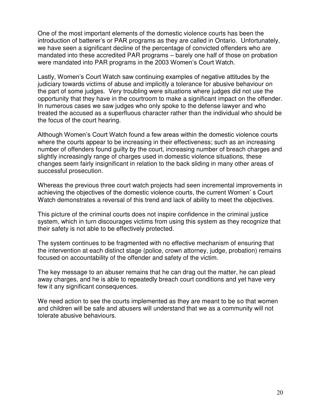One of the most important elements of the domestic violence courts has been the introduction of batterer's or PAR programs as they are called in Ontario. Unfortunately, we have seen a significant decline of the percentage of convicted offenders who are mandated into these accredited PAR programs – barely one half of those on probation were mandated into PAR programs in the 2003 Women's Court Watch.

Lastly, Women's Court Watch saw continuing examples of negative attitudes by the judiciary towards victims of abuse and implicitly a tolerance for abusive behaviour on the part of some judges. Very troubling were situations where judges did not use the opportunity that they have in the courtroom to make a significant impact on the offender. In numerous cases we saw judges who only spoke to the defense lawyer and who treated the accused as a superfluous character rather than the individual who should be the focus of the court hearing.

Although Women's Court Watch found a few areas within the domestic violence courts where the courts appear to be increasing in their effectiveness; such as an increasing number of offenders found guilty by the court, increasing number of breach charges and slightly increasingly range of charges used in domestic violence situations, these changes seem fairly insignificant in relation to the back sliding in many other areas of successful prosecution.

Whereas the previous three court watch projects had seen incremental improvements in achieving the objectives of the domestic violence courts, the current Women' s Court Watch demonstrates a reversal of this trend and lack of ability to meet the objectives.

This picture of the criminal courts does not inspire confidence in the criminal justice system, which in turn discourages victims from using this system as they recognize that their safety is not able to be effectively protected.

The system continues to be fragmented with no effective mechanism of ensuring that the intervention at each distinct stage (police, crown attorney, judge, probation) remains focused on accountability of the offender and safety of the victim.

The key message to an abuser remains that he can drag out the matter, he can plead away charges, and he is able to repeatedly breach court conditions and yet have very few it any significant consequences.

We need action to see the courts implemented as they are meant to be so that women and children will be safe and abusers will understand that we as a community will not tolerate abusive behaviours.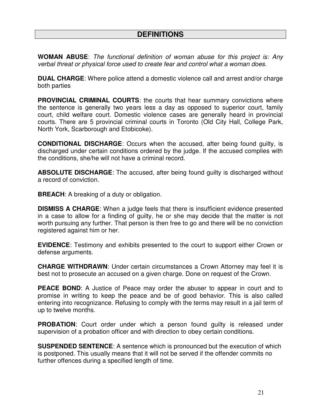## **DEFINITIONS**

**WOMAN ABUSE**: *The functional definition of woman abuse for this project is: Any verbal threat or physical force used to create fear and control what a woman does.* 

**DUAL CHARGE**: Where police attend a domestic violence call and arrest and/or charge both parties

**PROVINCIAL CRIMINAL COURTS**: the courts that hear summary convictions where the sentence is generally two years less a day as opposed to superior court, family court, child welfare court. Domestic violence cases are generally heard in provincial courts. There are 5 provincial criminal courts in Toronto (Old City Hall, College Park, North York, Scarborough and Etobicoke).

**CONDITIONAL DISCHARGE**: Occurs when the accused, after being found guilty, is discharged under certain conditions ordered by the judge. If the accused complies with the conditions, she/he will not have a criminal record.

**ABSOLUTE DISCHARGE**: The accused, after being found guilty is discharged without a record of conviction.

**BREACH**: A breaking of a duty or obligation.

**DISMISS A CHARGE**: When a judge feels that there is insufficient evidence presented in a case to allow for a finding of guilty, he or she may decide that the matter is not worth pursuing any further. That person is then free to go and there will be no conviction registered against him or her.

**EVIDENCE**: Testimony and exhibits presented to the court to support either Crown or defense arguments.

**CHARGE WITHDRAWN**: Under certain circumstances a Crown Attorney may feel it is best not to prosecute an accused on a given charge. Done on request of the Crown.

**PEACE BOND:** A Justice of Peace may order the abuser to appear in court and to promise in writing to keep the peace and be of good behavior. This is also called entering into recognizance. Refusing to comply with the terms may result in a jail term of up to twelve months.

**PROBATION:** Court order under which a person found quilty is released under supervision of a probation officer and with direction to obey certain conditions.

**SUSPENDED SENTENCE**: A sentence which is pronounced but the execution of which is postponed. This usually means that it will not be served if the offender commits no further offences during a specified length of time.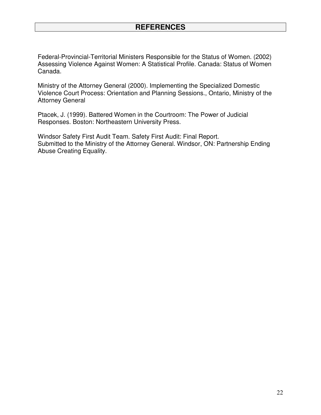## **REFERENCES**

Federal-Provincial-Territorial Ministers Responsible for the Status of Women. (2002) Assessing Violence Against Women: A Statistical Profile. Canada: Status of Women Canada.

Ministry of the Attorney General (2000). Implementing the Specialized Domestic Violence Court Process: Orientation and Planning Sessions., Ontario, Ministry of the Attorney General

Ptacek, J. (1999). Battered Women in the Courtroom: The Power of Judicial Responses. Boston: Northeastern University Press.

Windsor Safety First Audit Team. Safety First Audit: Final Report. Submitted to the Ministry of the Attorney General. Windsor, ON: Partnership Ending Abuse Creating Equality.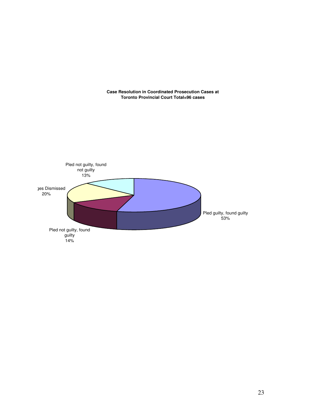

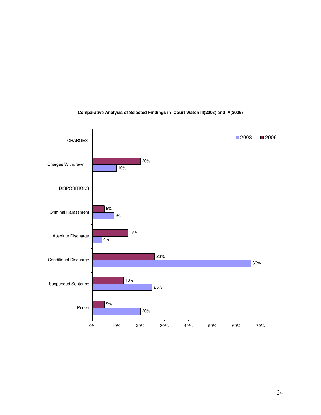

#### **Comparative Analysis of Selected Findings in Court Watch III(2003) and IV(2006)**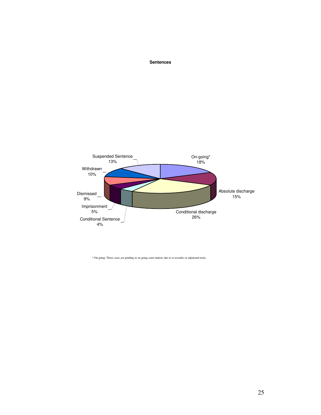#### **Sentences**



\* On-going: These cases are pending or on going court matters due to re-assaults or adjourned trials.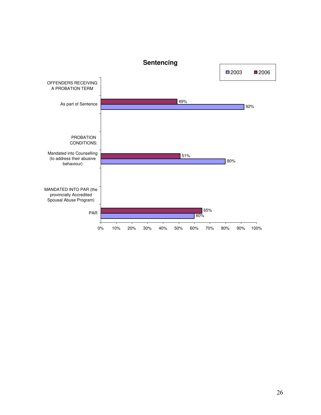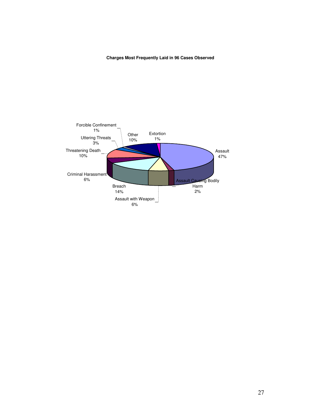#### **Charges Most Frequently Laid in 96 Cases Observed**

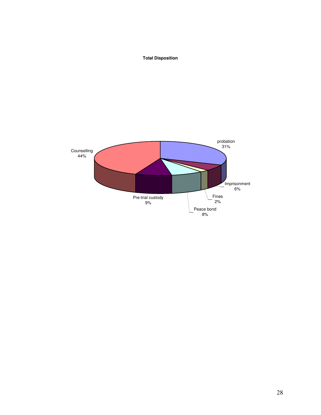#### **Total Disposition**

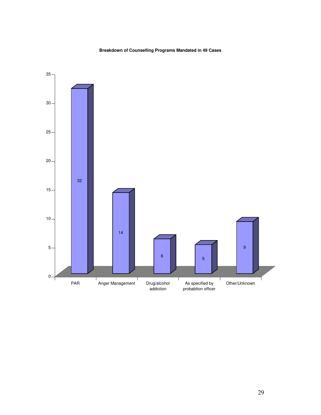#### **Breakdown of Counselling Programs Mandated in 49 Cases**

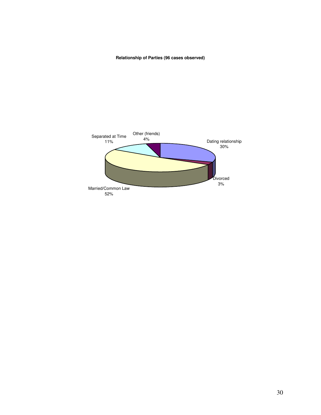#### **Relationship of Parties (96 cases observed)**